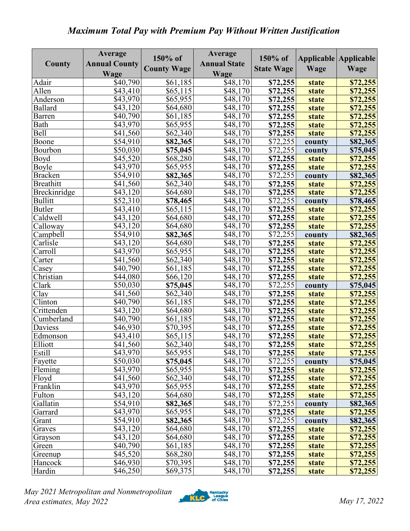## *Maximum Total Pay with Premium Pay Without Written Justification*

| <b>County Wage</b><br><b>State Wage</b><br>Wage<br>Wage<br>Wage<br>Wage<br>\$40,790<br>\$48,170<br>\$61,185<br>Adair<br>\$72,255<br>\$72,255<br>state<br>$\overline{$43,410}$<br>Allen<br>\$65,115<br>$\overline{$}48,170$<br>\$72,255<br>\$72,255<br>state<br>\$48,170<br>\$43,970<br>\$65,955<br>\$72,255<br>Anderson<br>\$72,255<br>state<br><b>Ballard</b><br>\$64,680<br>\$48,170<br>\$43,120<br>\$72,255<br>\$72,255<br>state<br>\$61,185<br>\$40,790<br>\$48,170<br>\$72,255<br><b>Barren</b><br>\$72,255<br><b>state</b><br>\$43,970<br>\$65,955<br>\$48,170<br>Bath<br>\$72,255<br>state<br>\$72,255<br><b>Bell</b><br>$\overline{$}48,170$<br>\$41,560<br>\$62,340<br>\$72,255<br>state<br>\$72,255<br>\$72,255<br>\$54,910<br>\$48,170<br>Boone<br>\$82,365<br>\$82,365<br>county<br>\$50,030<br>\$48,170<br>\$72,255<br>Bourbon<br>\$75,045<br>\$75,045<br>county<br>\$45,520<br>\$68,280<br>\$48,170<br>\$72,255<br>\$72,255<br>Boyd<br>state<br>\$43,970<br>\$65,955<br>\$48,170<br>\$72,255<br>\$72,255<br>Boyle<br>state<br>$\overline{$}54,910$<br>$\sqrt{48,170}$<br>\$72,255<br>\$82,365<br>\$82,365<br><b>Bracken</b><br>county<br>\$41,560<br>\$62,340<br>\$48,170<br>\$72,255<br><b>Breathitt</b><br>\$72,255<br>state<br>Breckinridge<br>\$43,120<br>\$64,680<br>\$48,170<br>\$72,255<br>\$72,255<br>state<br><b>Bullitt</b><br>\$52,310<br>\$78,465<br>\$48,170<br>\$72,255<br>\$78,465<br>county<br><b>Butler</b><br>\$43,410<br>\$65,115<br>\$48,170<br>\$72,255<br>\$72,255<br>state<br>Caldwell<br>\$64,680<br>\$48,170<br>\$43,120<br>\$72,255<br>\$72,255<br>state<br>\$43,120<br>\$48,170<br>\$72,255<br>Calloway<br>\$64,680<br>\$72,255<br>state<br>\$54,910<br>\$48,170<br>\$72,255<br>Campbell<br>\$82,365<br>\$82,365<br>county<br>\$43,120<br>\$48,170<br>\$72,255<br>\$72,255<br>Carlisle<br>\$64,680<br>state<br>\$43,970<br>\$48,170<br>\$65,955<br>\$72,255<br>\$72,255<br>Carroll<br>state<br>\$41,560<br>\$48,170<br>\$72,255<br>\$62,340<br>\$72,255<br>Carter<br>state<br>\$40,790<br>\$61,185<br>\$48,170<br>\$72,255<br>\$72,255<br>Casey<br>state<br>\$44,080<br>Christian<br>\$48,170<br>\$66,120<br>\$72,255<br>\$72,255<br>state<br>Clark<br>\$75,045<br>\$48,170<br>\$72,255<br>\$50,030<br>\$75,045<br>county<br>\$48,170<br>Clay<br>\$41,560<br>\$62,340<br>\$72,255<br>\$72,255<br>state<br>\$61,185<br>\$48,170<br>Clinton<br>\$40,790<br>\$72,255<br>state<br>\$72,255<br>\$43,120<br>\$64,680<br>\$48,170<br>Crittenden<br>\$72,255<br>\$72,255<br>state<br>$\overline{$}48,170$<br>Cumberland<br>\$40,790<br>\$61,185<br>\$72,255<br>\$72,255<br>state<br>\$70,395<br>\$46,930<br>\$48,170<br>\$72,255<br>Daviess<br>\$72,255<br>state<br>\$43,410<br>\$65,115<br>\$48,170<br>\$72,255<br>\$72,255<br>Edmonson<br>state<br>Elliott<br>\$48,170<br>\$72,255<br>\$41,560<br>\$62,340<br>\$72,255<br>state<br>\$43,970<br>\$65,955<br>\$48,170<br>Estill<br>\$72,255<br>state<br>\$72,255<br>\$50,030<br>\$72,255<br>\$75,045<br>\$48,170<br>Fayette<br>county<br>\$75,045<br>\$65,955<br>Fleming<br>\$43,970<br>\$48,170<br>\$72,255<br>state<br>\$62,340<br>\$48,170<br>Floyd<br>\$41,560<br>\$72,255<br>\$72,255<br>state<br>Franklin<br>\$65,955<br>\$43,970<br>\$48,170<br>\$72,255<br>\$72,255<br>state<br>\$48,170<br>Fulton<br>\$43,120<br>\$64,680<br>\$72,255<br>\$72,255<br>state<br>\$54,910<br>\$48,170<br>\$72,255<br>Gallatin<br>\$82,365<br>\$82,365<br>county<br>\$43,970<br>\$65,955<br>\$48,170<br>\$72,255<br>\$72,255<br>Garrard<br>state<br>\$54,910<br>\$72,255<br>\$48,170<br>\$82,365<br>\$82,365<br>Grant<br>county<br>\$43,120<br>\$48,170<br>\$64,680<br>\$72,255<br>\$72,255<br>Graves<br>state<br>\$43,120<br>\$64,680<br>\$48,170<br>\$72,255<br>\$72,255<br>Grayson<br>state<br>\$40,790<br>\$61,185<br>\$48,170<br>\$72,255<br>\$72,255<br>Green<br>state<br>\$45,520<br>\$68,280<br>\$48,170<br>\$72,255<br>state<br>Greenup<br>\$46,930<br>\$70,395<br>\$48,170<br>\$72,255<br>Hancock<br>\$72,255<br><b>state</b> |        | Average              | 150% of  | Average<br><b>Annual State</b> | 150% of  |       | Applicable Applicable |
|---------------------------------------------------------------------------------------------------------------------------------------------------------------------------------------------------------------------------------------------------------------------------------------------------------------------------------------------------------------------------------------------------------------------------------------------------------------------------------------------------------------------------------------------------------------------------------------------------------------------------------------------------------------------------------------------------------------------------------------------------------------------------------------------------------------------------------------------------------------------------------------------------------------------------------------------------------------------------------------------------------------------------------------------------------------------------------------------------------------------------------------------------------------------------------------------------------------------------------------------------------------------------------------------------------------------------------------------------------------------------------------------------------------------------------------------------------------------------------------------------------------------------------------------------------------------------------------------------------------------------------------------------------------------------------------------------------------------------------------------------------------------------------------------------------------------------------------------------------------------------------------------------------------------------------------------------------------------------------------------------------------------------------------------------------------------------------------------------------------------------------------------------------------------------------------------------------------------------------------------------------------------------------------------------------------------------------------------------------------------------------------------------------------------------------------------------------------------------------------------------------------------------------------------------------------------------------------------------------------------------------------------------------------------------------------------------------------------------------------------------------------------------------------------------------------------------------------------------------------------------------------------------------------------------------------------------------------------------------------------------------------------------------------------------------------------------------------------------------------------------------------------------------------------------------------------------------------------------------------------------------------------------------------------------------------------------------------------------------------------------------------------------------------------------------------------------------------------------------------------------------------------------------------------------------------------------------------------------------------------------------------------------------------------------------------------------------------------------------------------------------------------------------------------------------------------------------------------------------------------------------------------------------------------------------------------------------------------------------------------------------------|--------|----------------------|----------|--------------------------------|----------|-------|-----------------------|
| \$72,255<br>\$72,255                                                                                                                                                                                                                                                                                                                                                                                                                                                                                                                                                                                                                                                                                                                                                                                                                                                                                                                                                                                                                                                                                                                                                                                                                                                                                                                                                                                                                                                                                                                                                                                                                                                                                                                                                                                                                                                                                                                                                                                                                                                                                                                                                                                                                                                                                                                                                                                                                                                                                                                                                                                                                                                                                                                                                                                                                                                                                                                                                                                                                                                                                                                                                                                                                                                                                                                                                                                                                                                                                                                                                                                                                                                                                                                                                                                                                                                                                                                                                                                          | County | <b>Annual County</b> |          |                                |          |       |                       |
|                                                                                                                                                                                                                                                                                                                                                                                                                                                                                                                                                                                                                                                                                                                                                                                                                                                                                                                                                                                                                                                                                                                                                                                                                                                                                                                                                                                                                                                                                                                                                                                                                                                                                                                                                                                                                                                                                                                                                                                                                                                                                                                                                                                                                                                                                                                                                                                                                                                                                                                                                                                                                                                                                                                                                                                                                                                                                                                                                                                                                                                                                                                                                                                                                                                                                                                                                                                                                                                                                                                                                                                                                                                                                                                                                                                                                                                                                                                                                                                                               |        |                      |          |                                |          |       |                       |
|                                                                                                                                                                                                                                                                                                                                                                                                                                                                                                                                                                                                                                                                                                                                                                                                                                                                                                                                                                                                                                                                                                                                                                                                                                                                                                                                                                                                                                                                                                                                                                                                                                                                                                                                                                                                                                                                                                                                                                                                                                                                                                                                                                                                                                                                                                                                                                                                                                                                                                                                                                                                                                                                                                                                                                                                                                                                                                                                                                                                                                                                                                                                                                                                                                                                                                                                                                                                                                                                                                                                                                                                                                                                                                                                                                                                                                                                                                                                                                                                               |        |                      |          |                                |          |       |                       |
|                                                                                                                                                                                                                                                                                                                                                                                                                                                                                                                                                                                                                                                                                                                                                                                                                                                                                                                                                                                                                                                                                                                                                                                                                                                                                                                                                                                                                                                                                                                                                                                                                                                                                                                                                                                                                                                                                                                                                                                                                                                                                                                                                                                                                                                                                                                                                                                                                                                                                                                                                                                                                                                                                                                                                                                                                                                                                                                                                                                                                                                                                                                                                                                                                                                                                                                                                                                                                                                                                                                                                                                                                                                                                                                                                                                                                                                                                                                                                                                                               |        |                      |          |                                |          |       |                       |
|                                                                                                                                                                                                                                                                                                                                                                                                                                                                                                                                                                                                                                                                                                                                                                                                                                                                                                                                                                                                                                                                                                                                                                                                                                                                                                                                                                                                                                                                                                                                                                                                                                                                                                                                                                                                                                                                                                                                                                                                                                                                                                                                                                                                                                                                                                                                                                                                                                                                                                                                                                                                                                                                                                                                                                                                                                                                                                                                                                                                                                                                                                                                                                                                                                                                                                                                                                                                                                                                                                                                                                                                                                                                                                                                                                                                                                                                                                                                                                                                               |        |                      |          |                                |          |       |                       |
|                                                                                                                                                                                                                                                                                                                                                                                                                                                                                                                                                                                                                                                                                                                                                                                                                                                                                                                                                                                                                                                                                                                                                                                                                                                                                                                                                                                                                                                                                                                                                                                                                                                                                                                                                                                                                                                                                                                                                                                                                                                                                                                                                                                                                                                                                                                                                                                                                                                                                                                                                                                                                                                                                                                                                                                                                                                                                                                                                                                                                                                                                                                                                                                                                                                                                                                                                                                                                                                                                                                                                                                                                                                                                                                                                                                                                                                                                                                                                                                                               |        |                      |          |                                |          |       |                       |
|                                                                                                                                                                                                                                                                                                                                                                                                                                                                                                                                                                                                                                                                                                                                                                                                                                                                                                                                                                                                                                                                                                                                                                                                                                                                                                                                                                                                                                                                                                                                                                                                                                                                                                                                                                                                                                                                                                                                                                                                                                                                                                                                                                                                                                                                                                                                                                                                                                                                                                                                                                                                                                                                                                                                                                                                                                                                                                                                                                                                                                                                                                                                                                                                                                                                                                                                                                                                                                                                                                                                                                                                                                                                                                                                                                                                                                                                                                                                                                                                               |        |                      |          |                                |          |       |                       |
|                                                                                                                                                                                                                                                                                                                                                                                                                                                                                                                                                                                                                                                                                                                                                                                                                                                                                                                                                                                                                                                                                                                                                                                                                                                                                                                                                                                                                                                                                                                                                                                                                                                                                                                                                                                                                                                                                                                                                                                                                                                                                                                                                                                                                                                                                                                                                                                                                                                                                                                                                                                                                                                                                                                                                                                                                                                                                                                                                                                                                                                                                                                                                                                                                                                                                                                                                                                                                                                                                                                                                                                                                                                                                                                                                                                                                                                                                                                                                                                                               |        |                      |          |                                |          |       |                       |
|                                                                                                                                                                                                                                                                                                                                                                                                                                                                                                                                                                                                                                                                                                                                                                                                                                                                                                                                                                                                                                                                                                                                                                                                                                                                                                                                                                                                                                                                                                                                                                                                                                                                                                                                                                                                                                                                                                                                                                                                                                                                                                                                                                                                                                                                                                                                                                                                                                                                                                                                                                                                                                                                                                                                                                                                                                                                                                                                                                                                                                                                                                                                                                                                                                                                                                                                                                                                                                                                                                                                                                                                                                                                                                                                                                                                                                                                                                                                                                                                               |        |                      |          |                                |          |       |                       |
|                                                                                                                                                                                                                                                                                                                                                                                                                                                                                                                                                                                                                                                                                                                                                                                                                                                                                                                                                                                                                                                                                                                                                                                                                                                                                                                                                                                                                                                                                                                                                                                                                                                                                                                                                                                                                                                                                                                                                                                                                                                                                                                                                                                                                                                                                                                                                                                                                                                                                                                                                                                                                                                                                                                                                                                                                                                                                                                                                                                                                                                                                                                                                                                                                                                                                                                                                                                                                                                                                                                                                                                                                                                                                                                                                                                                                                                                                                                                                                                                               |        |                      |          |                                |          |       |                       |
|                                                                                                                                                                                                                                                                                                                                                                                                                                                                                                                                                                                                                                                                                                                                                                                                                                                                                                                                                                                                                                                                                                                                                                                                                                                                                                                                                                                                                                                                                                                                                                                                                                                                                                                                                                                                                                                                                                                                                                                                                                                                                                                                                                                                                                                                                                                                                                                                                                                                                                                                                                                                                                                                                                                                                                                                                                                                                                                                                                                                                                                                                                                                                                                                                                                                                                                                                                                                                                                                                                                                                                                                                                                                                                                                                                                                                                                                                                                                                                                                               |        |                      |          |                                |          |       |                       |
|                                                                                                                                                                                                                                                                                                                                                                                                                                                                                                                                                                                                                                                                                                                                                                                                                                                                                                                                                                                                                                                                                                                                                                                                                                                                                                                                                                                                                                                                                                                                                                                                                                                                                                                                                                                                                                                                                                                                                                                                                                                                                                                                                                                                                                                                                                                                                                                                                                                                                                                                                                                                                                                                                                                                                                                                                                                                                                                                                                                                                                                                                                                                                                                                                                                                                                                                                                                                                                                                                                                                                                                                                                                                                                                                                                                                                                                                                                                                                                                                               |        |                      |          |                                |          |       |                       |
|                                                                                                                                                                                                                                                                                                                                                                                                                                                                                                                                                                                                                                                                                                                                                                                                                                                                                                                                                                                                                                                                                                                                                                                                                                                                                                                                                                                                                                                                                                                                                                                                                                                                                                                                                                                                                                                                                                                                                                                                                                                                                                                                                                                                                                                                                                                                                                                                                                                                                                                                                                                                                                                                                                                                                                                                                                                                                                                                                                                                                                                                                                                                                                                                                                                                                                                                                                                                                                                                                                                                                                                                                                                                                                                                                                                                                                                                                                                                                                                                               |        |                      |          |                                |          |       |                       |
|                                                                                                                                                                                                                                                                                                                                                                                                                                                                                                                                                                                                                                                                                                                                                                                                                                                                                                                                                                                                                                                                                                                                                                                                                                                                                                                                                                                                                                                                                                                                                                                                                                                                                                                                                                                                                                                                                                                                                                                                                                                                                                                                                                                                                                                                                                                                                                                                                                                                                                                                                                                                                                                                                                                                                                                                                                                                                                                                                                                                                                                                                                                                                                                                                                                                                                                                                                                                                                                                                                                                                                                                                                                                                                                                                                                                                                                                                                                                                                                                               |        |                      |          |                                |          |       |                       |
|                                                                                                                                                                                                                                                                                                                                                                                                                                                                                                                                                                                                                                                                                                                                                                                                                                                                                                                                                                                                                                                                                                                                                                                                                                                                                                                                                                                                                                                                                                                                                                                                                                                                                                                                                                                                                                                                                                                                                                                                                                                                                                                                                                                                                                                                                                                                                                                                                                                                                                                                                                                                                                                                                                                                                                                                                                                                                                                                                                                                                                                                                                                                                                                                                                                                                                                                                                                                                                                                                                                                                                                                                                                                                                                                                                                                                                                                                                                                                                                                               |        |                      |          |                                |          |       |                       |
|                                                                                                                                                                                                                                                                                                                                                                                                                                                                                                                                                                                                                                                                                                                                                                                                                                                                                                                                                                                                                                                                                                                                                                                                                                                                                                                                                                                                                                                                                                                                                                                                                                                                                                                                                                                                                                                                                                                                                                                                                                                                                                                                                                                                                                                                                                                                                                                                                                                                                                                                                                                                                                                                                                                                                                                                                                                                                                                                                                                                                                                                                                                                                                                                                                                                                                                                                                                                                                                                                                                                                                                                                                                                                                                                                                                                                                                                                                                                                                                                               |        |                      |          |                                |          |       |                       |
|                                                                                                                                                                                                                                                                                                                                                                                                                                                                                                                                                                                                                                                                                                                                                                                                                                                                                                                                                                                                                                                                                                                                                                                                                                                                                                                                                                                                                                                                                                                                                                                                                                                                                                                                                                                                                                                                                                                                                                                                                                                                                                                                                                                                                                                                                                                                                                                                                                                                                                                                                                                                                                                                                                                                                                                                                                                                                                                                                                                                                                                                                                                                                                                                                                                                                                                                                                                                                                                                                                                                                                                                                                                                                                                                                                                                                                                                                                                                                                                                               |        |                      |          |                                |          |       |                       |
|                                                                                                                                                                                                                                                                                                                                                                                                                                                                                                                                                                                                                                                                                                                                                                                                                                                                                                                                                                                                                                                                                                                                                                                                                                                                                                                                                                                                                                                                                                                                                                                                                                                                                                                                                                                                                                                                                                                                                                                                                                                                                                                                                                                                                                                                                                                                                                                                                                                                                                                                                                                                                                                                                                                                                                                                                                                                                                                                                                                                                                                                                                                                                                                                                                                                                                                                                                                                                                                                                                                                                                                                                                                                                                                                                                                                                                                                                                                                                                                                               |        |                      |          |                                |          |       |                       |
|                                                                                                                                                                                                                                                                                                                                                                                                                                                                                                                                                                                                                                                                                                                                                                                                                                                                                                                                                                                                                                                                                                                                                                                                                                                                                                                                                                                                                                                                                                                                                                                                                                                                                                                                                                                                                                                                                                                                                                                                                                                                                                                                                                                                                                                                                                                                                                                                                                                                                                                                                                                                                                                                                                                                                                                                                                                                                                                                                                                                                                                                                                                                                                                                                                                                                                                                                                                                                                                                                                                                                                                                                                                                                                                                                                                                                                                                                                                                                                                                               |        |                      |          |                                |          |       |                       |
|                                                                                                                                                                                                                                                                                                                                                                                                                                                                                                                                                                                                                                                                                                                                                                                                                                                                                                                                                                                                                                                                                                                                                                                                                                                                                                                                                                                                                                                                                                                                                                                                                                                                                                                                                                                                                                                                                                                                                                                                                                                                                                                                                                                                                                                                                                                                                                                                                                                                                                                                                                                                                                                                                                                                                                                                                                                                                                                                                                                                                                                                                                                                                                                                                                                                                                                                                                                                                                                                                                                                                                                                                                                                                                                                                                                                                                                                                                                                                                                                               |        |                      |          |                                |          |       |                       |
|                                                                                                                                                                                                                                                                                                                                                                                                                                                                                                                                                                                                                                                                                                                                                                                                                                                                                                                                                                                                                                                                                                                                                                                                                                                                                                                                                                                                                                                                                                                                                                                                                                                                                                                                                                                                                                                                                                                                                                                                                                                                                                                                                                                                                                                                                                                                                                                                                                                                                                                                                                                                                                                                                                                                                                                                                                                                                                                                                                                                                                                                                                                                                                                                                                                                                                                                                                                                                                                                                                                                                                                                                                                                                                                                                                                                                                                                                                                                                                                                               |        |                      |          |                                |          |       |                       |
|                                                                                                                                                                                                                                                                                                                                                                                                                                                                                                                                                                                                                                                                                                                                                                                                                                                                                                                                                                                                                                                                                                                                                                                                                                                                                                                                                                                                                                                                                                                                                                                                                                                                                                                                                                                                                                                                                                                                                                                                                                                                                                                                                                                                                                                                                                                                                                                                                                                                                                                                                                                                                                                                                                                                                                                                                                                                                                                                                                                                                                                                                                                                                                                                                                                                                                                                                                                                                                                                                                                                                                                                                                                                                                                                                                                                                                                                                                                                                                                                               |        |                      |          |                                |          |       |                       |
|                                                                                                                                                                                                                                                                                                                                                                                                                                                                                                                                                                                                                                                                                                                                                                                                                                                                                                                                                                                                                                                                                                                                                                                                                                                                                                                                                                                                                                                                                                                                                                                                                                                                                                                                                                                                                                                                                                                                                                                                                                                                                                                                                                                                                                                                                                                                                                                                                                                                                                                                                                                                                                                                                                                                                                                                                                                                                                                                                                                                                                                                                                                                                                                                                                                                                                                                                                                                                                                                                                                                                                                                                                                                                                                                                                                                                                                                                                                                                                                                               |        |                      |          |                                |          |       |                       |
|                                                                                                                                                                                                                                                                                                                                                                                                                                                                                                                                                                                                                                                                                                                                                                                                                                                                                                                                                                                                                                                                                                                                                                                                                                                                                                                                                                                                                                                                                                                                                                                                                                                                                                                                                                                                                                                                                                                                                                                                                                                                                                                                                                                                                                                                                                                                                                                                                                                                                                                                                                                                                                                                                                                                                                                                                                                                                                                                                                                                                                                                                                                                                                                                                                                                                                                                                                                                                                                                                                                                                                                                                                                                                                                                                                                                                                                                                                                                                                                                               |        |                      |          |                                |          |       |                       |
|                                                                                                                                                                                                                                                                                                                                                                                                                                                                                                                                                                                                                                                                                                                                                                                                                                                                                                                                                                                                                                                                                                                                                                                                                                                                                                                                                                                                                                                                                                                                                                                                                                                                                                                                                                                                                                                                                                                                                                                                                                                                                                                                                                                                                                                                                                                                                                                                                                                                                                                                                                                                                                                                                                                                                                                                                                                                                                                                                                                                                                                                                                                                                                                                                                                                                                                                                                                                                                                                                                                                                                                                                                                                                                                                                                                                                                                                                                                                                                                                               |        |                      |          |                                |          |       |                       |
|                                                                                                                                                                                                                                                                                                                                                                                                                                                                                                                                                                                                                                                                                                                                                                                                                                                                                                                                                                                                                                                                                                                                                                                                                                                                                                                                                                                                                                                                                                                                                                                                                                                                                                                                                                                                                                                                                                                                                                                                                                                                                                                                                                                                                                                                                                                                                                                                                                                                                                                                                                                                                                                                                                                                                                                                                                                                                                                                                                                                                                                                                                                                                                                                                                                                                                                                                                                                                                                                                                                                                                                                                                                                                                                                                                                                                                                                                                                                                                                                               |        |                      |          |                                |          |       |                       |
|                                                                                                                                                                                                                                                                                                                                                                                                                                                                                                                                                                                                                                                                                                                                                                                                                                                                                                                                                                                                                                                                                                                                                                                                                                                                                                                                                                                                                                                                                                                                                                                                                                                                                                                                                                                                                                                                                                                                                                                                                                                                                                                                                                                                                                                                                                                                                                                                                                                                                                                                                                                                                                                                                                                                                                                                                                                                                                                                                                                                                                                                                                                                                                                                                                                                                                                                                                                                                                                                                                                                                                                                                                                                                                                                                                                                                                                                                                                                                                                                               |        |                      |          |                                |          |       |                       |
|                                                                                                                                                                                                                                                                                                                                                                                                                                                                                                                                                                                                                                                                                                                                                                                                                                                                                                                                                                                                                                                                                                                                                                                                                                                                                                                                                                                                                                                                                                                                                                                                                                                                                                                                                                                                                                                                                                                                                                                                                                                                                                                                                                                                                                                                                                                                                                                                                                                                                                                                                                                                                                                                                                                                                                                                                                                                                                                                                                                                                                                                                                                                                                                                                                                                                                                                                                                                                                                                                                                                                                                                                                                                                                                                                                                                                                                                                                                                                                                                               |        |                      |          |                                |          |       |                       |
|                                                                                                                                                                                                                                                                                                                                                                                                                                                                                                                                                                                                                                                                                                                                                                                                                                                                                                                                                                                                                                                                                                                                                                                                                                                                                                                                                                                                                                                                                                                                                                                                                                                                                                                                                                                                                                                                                                                                                                                                                                                                                                                                                                                                                                                                                                                                                                                                                                                                                                                                                                                                                                                                                                                                                                                                                                                                                                                                                                                                                                                                                                                                                                                                                                                                                                                                                                                                                                                                                                                                                                                                                                                                                                                                                                                                                                                                                                                                                                                                               |        |                      |          |                                |          |       |                       |
|                                                                                                                                                                                                                                                                                                                                                                                                                                                                                                                                                                                                                                                                                                                                                                                                                                                                                                                                                                                                                                                                                                                                                                                                                                                                                                                                                                                                                                                                                                                                                                                                                                                                                                                                                                                                                                                                                                                                                                                                                                                                                                                                                                                                                                                                                                                                                                                                                                                                                                                                                                                                                                                                                                                                                                                                                                                                                                                                                                                                                                                                                                                                                                                                                                                                                                                                                                                                                                                                                                                                                                                                                                                                                                                                                                                                                                                                                                                                                                                                               |        |                      |          |                                |          |       |                       |
|                                                                                                                                                                                                                                                                                                                                                                                                                                                                                                                                                                                                                                                                                                                                                                                                                                                                                                                                                                                                                                                                                                                                                                                                                                                                                                                                                                                                                                                                                                                                                                                                                                                                                                                                                                                                                                                                                                                                                                                                                                                                                                                                                                                                                                                                                                                                                                                                                                                                                                                                                                                                                                                                                                                                                                                                                                                                                                                                                                                                                                                                                                                                                                                                                                                                                                                                                                                                                                                                                                                                                                                                                                                                                                                                                                                                                                                                                                                                                                                                               |        |                      |          |                                |          |       |                       |
|                                                                                                                                                                                                                                                                                                                                                                                                                                                                                                                                                                                                                                                                                                                                                                                                                                                                                                                                                                                                                                                                                                                                                                                                                                                                                                                                                                                                                                                                                                                                                                                                                                                                                                                                                                                                                                                                                                                                                                                                                                                                                                                                                                                                                                                                                                                                                                                                                                                                                                                                                                                                                                                                                                                                                                                                                                                                                                                                                                                                                                                                                                                                                                                                                                                                                                                                                                                                                                                                                                                                                                                                                                                                                                                                                                                                                                                                                                                                                                                                               |        |                      |          |                                |          |       |                       |
|                                                                                                                                                                                                                                                                                                                                                                                                                                                                                                                                                                                                                                                                                                                                                                                                                                                                                                                                                                                                                                                                                                                                                                                                                                                                                                                                                                                                                                                                                                                                                                                                                                                                                                                                                                                                                                                                                                                                                                                                                                                                                                                                                                                                                                                                                                                                                                                                                                                                                                                                                                                                                                                                                                                                                                                                                                                                                                                                                                                                                                                                                                                                                                                                                                                                                                                                                                                                                                                                                                                                                                                                                                                                                                                                                                                                                                                                                                                                                                                                               |        |                      |          |                                |          |       |                       |
|                                                                                                                                                                                                                                                                                                                                                                                                                                                                                                                                                                                                                                                                                                                                                                                                                                                                                                                                                                                                                                                                                                                                                                                                                                                                                                                                                                                                                                                                                                                                                                                                                                                                                                                                                                                                                                                                                                                                                                                                                                                                                                                                                                                                                                                                                                                                                                                                                                                                                                                                                                                                                                                                                                                                                                                                                                                                                                                                                                                                                                                                                                                                                                                                                                                                                                                                                                                                                                                                                                                                                                                                                                                                                                                                                                                                                                                                                                                                                                                                               |        |                      |          |                                |          |       |                       |
|                                                                                                                                                                                                                                                                                                                                                                                                                                                                                                                                                                                                                                                                                                                                                                                                                                                                                                                                                                                                                                                                                                                                                                                                                                                                                                                                                                                                                                                                                                                                                                                                                                                                                                                                                                                                                                                                                                                                                                                                                                                                                                                                                                                                                                                                                                                                                                                                                                                                                                                                                                                                                                                                                                                                                                                                                                                                                                                                                                                                                                                                                                                                                                                                                                                                                                                                                                                                                                                                                                                                                                                                                                                                                                                                                                                                                                                                                                                                                                                                               |        |                      |          |                                |          |       |                       |
|                                                                                                                                                                                                                                                                                                                                                                                                                                                                                                                                                                                                                                                                                                                                                                                                                                                                                                                                                                                                                                                                                                                                                                                                                                                                                                                                                                                                                                                                                                                                                                                                                                                                                                                                                                                                                                                                                                                                                                                                                                                                                                                                                                                                                                                                                                                                                                                                                                                                                                                                                                                                                                                                                                                                                                                                                                                                                                                                                                                                                                                                                                                                                                                                                                                                                                                                                                                                                                                                                                                                                                                                                                                                                                                                                                                                                                                                                                                                                                                                               |        |                      |          |                                |          |       |                       |
|                                                                                                                                                                                                                                                                                                                                                                                                                                                                                                                                                                                                                                                                                                                                                                                                                                                                                                                                                                                                                                                                                                                                                                                                                                                                                                                                                                                                                                                                                                                                                                                                                                                                                                                                                                                                                                                                                                                                                                                                                                                                                                                                                                                                                                                                                                                                                                                                                                                                                                                                                                                                                                                                                                                                                                                                                                                                                                                                                                                                                                                                                                                                                                                                                                                                                                                                                                                                                                                                                                                                                                                                                                                                                                                                                                                                                                                                                                                                                                                                               |        |                      |          |                                |          |       |                       |
|                                                                                                                                                                                                                                                                                                                                                                                                                                                                                                                                                                                                                                                                                                                                                                                                                                                                                                                                                                                                                                                                                                                                                                                                                                                                                                                                                                                                                                                                                                                                                                                                                                                                                                                                                                                                                                                                                                                                                                                                                                                                                                                                                                                                                                                                                                                                                                                                                                                                                                                                                                                                                                                                                                                                                                                                                                                                                                                                                                                                                                                                                                                                                                                                                                                                                                                                                                                                                                                                                                                                                                                                                                                                                                                                                                                                                                                                                                                                                                                                               |        |                      |          |                                |          |       |                       |
|                                                                                                                                                                                                                                                                                                                                                                                                                                                                                                                                                                                                                                                                                                                                                                                                                                                                                                                                                                                                                                                                                                                                                                                                                                                                                                                                                                                                                                                                                                                                                                                                                                                                                                                                                                                                                                                                                                                                                                                                                                                                                                                                                                                                                                                                                                                                                                                                                                                                                                                                                                                                                                                                                                                                                                                                                                                                                                                                                                                                                                                                                                                                                                                                                                                                                                                                                                                                                                                                                                                                                                                                                                                                                                                                                                                                                                                                                                                                                                                                               |        |                      |          |                                |          |       |                       |
|                                                                                                                                                                                                                                                                                                                                                                                                                                                                                                                                                                                                                                                                                                                                                                                                                                                                                                                                                                                                                                                                                                                                                                                                                                                                                                                                                                                                                                                                                                                                                                                                                                                                                                                                                                                                                                                                                                                                                                                                                                                                                                                                                                                                                                                                                                                                                                                                                                                                                                                                                                                                                                                                                                                                                                                                                                                                                                                                                                                                                                                                                                                                                                                                                                                                                                                                                                                                                                                                                                                                                                                                                                                                                                                                                                                                                                                                                                                                                                                                               |        |                      |          |                                |          |       |                       |
|                                                                                                                                                                                                                                                                                                                                                                                                                                                                                                                                                                                                                                                                                                                                                                                                                                                                                                                                                                                                                                                                                                                                                                                                                                                                                                                                                                                                                                                                                                                                                                                                                                                                                                                                                                                                                                                                                                                                                                                                                                                                                                                                                                                                                                                                                                                                                                                                                                                                                                                                                                                                                                                                                                                                                                                                                                                                                                                                                                                                                                                                                                                                                                                                                                                                                                                                                                                                                                                                                                                                                                                                                                                                                                                                                                                                                                                                                                                                                                                                               |        |                      |          |                                |          |       |                       |
|                                                                                                                                                                                                                                                                                                                                                                                                                                                                                                                                                                                                                                                                                                                                                                                                                                                                                                                                                                                                                                                                                                                                                                                                                                                                                                                                                                                                                                                                                                                                                                                                                                                                                                                                                                                                                                                                                                                                                                                                                                                                                                                                                                                                                                                                                                                                                                                                                                                                                                                                                                                                                                                                                                                                                                                                                                                                                                                                                                                                                                                                                                                                                                                                                                                                                                                                                                                                                                                                                                                                                                                                                                                                                                                                                                                                                                                                                                                                                                                                               |        |                      |          |                                |          |       |                       |
|                                                                                                                                                                                                                                                                                                                                                                                                                                                                                                                                                                                                                                                                                                                                                                                                                                                                                                                                                                                                                                                                                                                                                                                                                                                                                                                                                                                                                                                                                                                                                                                                                                                                                                                                                                                                                                                                                                                                                                                                                                                                                                                                                                                                                                                                                                                                                                                                                                                                                                                                                                                                                                                                                                                                                                                                                                                                                                                                                                                                                                                                                                                                                                                                                                                                                                                                                                                                                                                                                                                                                                                                                                                                                                                                                                                                                                                                                                                                                                                                               |        |                      |          |                                |          |       |                       |
|                                                                                                                                                                                                                                                                                                                                                                                                                                                                                                                                                                                                                                                                                                                                                                                                                                                                                                                                                                                                                                                                                                                                                                                                                                                                                                                                                                                                                                                                                                                                                                                                                                                                                                                                                                                                                                                                                                                                                                                                                                                                                                                                                                                                                                                                                                                                                                                                                                                                                                                                                                                                                                                                                                                                                                                                                                                                                                                                                                                                                                                                                                                                                                                                                                                                                                                                                                                                                                                                                                                                                                                                                                                                                                                                                                                                                                                                                                                                                                                                               |        |                      |          |                                |          |       |                       |
|                                                                                                                                                                                                                                                                                                                                                                                                                                                                                                                                                                                                                                                                                                                                                                                                                                                                                                                                                                                                                                                                                                                                                                                                                                                                                                                                                                                                                                                                                                                                                                                                                                                                                                                                                                                                                                                                                                                                                                                                                                                                                                                                                                                                                                                                                                                                                                                                                                                                                                                                                                                                                                                                                                                                                                                                                                                                                                                                                                                                                                                                                                                                                                                                                                                                                                                                                                                                                                                                                                                                                                                                                                                                                                                                                                                                                                                                                                                                                                                                               |        |                      |          |                                |          |       |                       |
|                                                                                                                                                                                                                                                                                                                                                                                                                                                                                                                                                                                                                                                                                                                                                                                                                                                                                                                                                                                                                                                                                                                                                                                                                                                                                                                                                                                                                                                                                                                                                                                                                                                                                                                                                                                                                                                                                                                                                                                                                                                                                                                                                                                                                                                                                                                                                                                                                                                                                                                                                                                                                                                                                                                                                                                                                                                                                                                                                                                                                                                                                                                                                                                                                                                                                                                                                                                                                                                                                                                                                                                                                                                                                                                                                                                                                                                                                                                                                                                                               |        |                      |          |                                |          |       |                       |
|                                                                                                                                                                                                                                                                                                                                                                                                                                                                                                                                                                                                                                                                                                                                                                                                                                                                                                                                                                                                                                                                                                                                                                                                                                                                                                                                                                                                                                                                                                                                                                                                                                                                                                                                                                                                                                                                                                                                                                                                                                                                                                                                                                                                                                                                                                                                                                                                                                                                                                                                                                                                                                                                                                                                                                                                                                                                                                                                                                                                                                                                                                                                                                                                                                                                                                                                                                                                                                                                                                                                                                                                                                                                                                                                                                                                                                                                                                                                                                                                               |        |                      |          |                                |          |       |                       |
|                                                                                                                                                                                                                                                                                                                                                                                                                                                                                                                                                                                                                                                                                                                                                                                                                                                                                                                                                                                                                                                                                                                                                                                                                                                                                                                                                                                                                                                                                                                                                                                                                                                                                                                                                                                                                                                                                                                                                                                                                                                                                                                                                                                                                                                                                                                                                                                                                                                                                                                                                                                                                                                                                                                                                                                                                                                                                                                                                                                                                                                                                                                                                                                                                                                                                                                                                                                                                                                                                                                                                                                                                                                                                                                                                                                                                                                                                                                                                                                                               | Hardin | \$46,250             | \$69,375 | \$48,170                       | \$72,255 | state | \$72,255              |

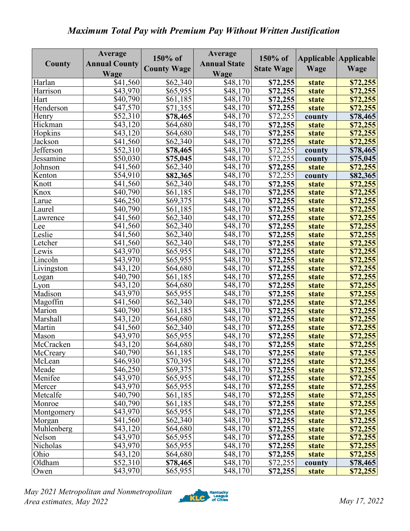## *Maximum Total Pay with Premium Pay Without Written Justification*

|            | Average              | 150% of            | Average             | 150% of           |              | Applicable Applicable |
|------------|----------------------|--------------------|---------------------|-------------------|--------------|-----------------------|
| County     | <b>Annual County</b> | <b>County Wage</b> | <b>Annual State</b> | <b>State Wage</b> | Wage         | Wage                  |
|            | Wage                 |                    | Wage                |                   |              |                       |
| Harlan     | \$41,560             | \$62,340           | \$48,170            | \$72,255          | state        | \$72,255              |
| Harrison   | \$43,970             | \$65,955           | \$48,170            | \$72,255          | state        | \$72,255              |
| Hart       | \$40,790             | \$61,185           | \$48,170            | \$72,255          | state        | \$72,255              |
| Henderson  | \$47,570             | \$71,355           | \$48,170            | \$72,255          | state        | \$72,255              |
| Henry      | \$52,310             | \$78,465           | \$48,170            | \$72,255          | county       | \$78,465              |
| Hickman    | \$43,120             | \$64,680           | \$48,170            | \$72,255          | state        | \$72,255              |
| Hopkins    | \$43,120             | \$64,680           | \$48,170            | \$72,255          | <b>state</b> | \$72,255              |
| Jackson    | \$41,560             | \$62,340           | \$48,170            | \$72,255          | state        | \$72,255              |
| Jefferson  | $\overline{$}52,310$ | \$78,465           | \$48,170            | \$72,255          | county       | \$78,465              |
| Jessamine  | \$50,030             | \$75,045           | \$48,170            | \$72,255          | county       | \$75,045              |
| Johnson    | \$41,560             | \$62,340           | \$48,170            | \$72,255          | state        | \$72,255              |
| Kenton     | \$54,910             | \$82,365           | \$48,170            | \$72,255          | county       | \$82,365              |
| Knott      | \$41,560             | \$62,340           | \$48,170            | \$72,255          | state        | \$72,255              |
| Knox       | \$40,790             | \$61,185           | \$48,170            | \$72,255          | state        | \$72,255              |
| Larue      | \$46,250             | \$69,375           | \$48,170            | \$72,255          | state        | \$72,255              |
| Laurel     | \$40,790             | \$61,185           | \$48,170            | \$72,255          | state        | \$72,255              |
| Lawrence   | \$41,560             | \$62,340           | \$48,170            | \$72,255          | state        | \$72,255              |
| Lee        | \$41,560             | \$62,340           | \$48,170            | \$72,255          | state        | \$72,255              |
| Leslie     | \$41,560             | \$62,340           | \$48,170            | \$72,255          | state        | \$72,255              |
| Letcher    | \$41,560             | \$62,340           | \$48,170            | \$72,255          | state        | \$72,255              |
| Lewis      | \$43,970             | \$65,955           | \$48,170            | \$72,255          | state        | \$72,255              |
| Lincoln    | \$43,970             | \$65,955           | \$48,170            | \$72,255          | state        | \$72,255              |
| Livingston | \$43,120             | \$64,680           | \$48,170            | \$72,255          | state        | \$72,255              |
| Logan      | \$40,790             | \$61,185           | \$48,170            | \$72,255          | <b>state</b> | \$72,255              |
| Lyon       | \$43,120             | \$64,680           | \$48,170            | \$72,255          | state        | \$72,255              |
| Madison    | \$43,970             | \$65,955           | \$48,170            | \$72,255          | state        | \$72,255              |
| Magoffin   | \$41,560             | \$62,340           | \$48,170            | \$72,255          | state        | \$72,255              |
| Marion     | \$40,790             | \$61,185           | \$48,170            | \$72,255          | state        | \$72,255              |
| Marshall   | \$43,120             | \$64,680           | \$48,170            | \$72,255          | state        | \$72,255              |
| Martin     | \$41,560             | \$62,340           | \$48,170            | \$72,255          | state        | \$72,255              |
| Mason      | \$43,970             | \$65,955           | \$48,170            | \$72,255          | state        | \$72,255              |
| McCracken  | \$43,120             | \$64,680           | \$48,170            | \$72,255          | state        | \$72,255              |
| McCreary   | \$40,790             | \$61,185           | \$48,170            | \$72,255          | <b>state</b> | \$72,255              |
| McLean     | \$46,930             | \$70,395           | \$48,170            | \$72,255          | <b>state</b> | \$72,255              |
| Meade      | \$46,250             | \$69,375           | \$48,170            | \$72,255          | state        | \$72,255              |
| Menifee    | \$43,970             | \$65,955           | \$48,170            | \$72,255          | state        | \$72,255              |
| Mercer     | \$43,970             | \$65,955           | \$48,170            | \$72,255          | <b>state</b> | \$72,255              |
| Metcalfe   | \$40,790             | \$61,185           | \$48,170            | \$72,255          | state        | \$72,255              |
| Monroe     | \$40,790             | \$61,185           | $\sqrt{348,170}$    | \$72,255          | state        | \$72,255              |
| Montgomery | \$43,970             | \$65,955           | \$48,170            | \$72,255          | state        | \$72,255              |
| Morgan     | \$41,560             | \$62,340           | \$48,170            | \$72,255          | state        | \$72,255              |
| Muhlenberg | \$43,120             | \$64,680           | \$48,170            | \$72,255          | state        | \$72,255              |
| Nelson     | \$43,970             | \$65,955           | \$48,170            | \$72,255          | state        | \$72,255              |
| Nicholas   | \$43,970             | \$65,955           | \$48,170            | \$72,255          | <b>state</b> | \$72,255              |
| Ohio       | \$43,120             | \$64,680           | \$48,170            | \$72,255          | state        | \$72,255              |
| Oldham     | \$52,310             | \$78,465           | \$48,170            | \$72,255          | county       | \$78,465              |
| Owen       | \$43,970             | \$65,955           | \$48,170            | \$72,255          | state        | \$72,255              |